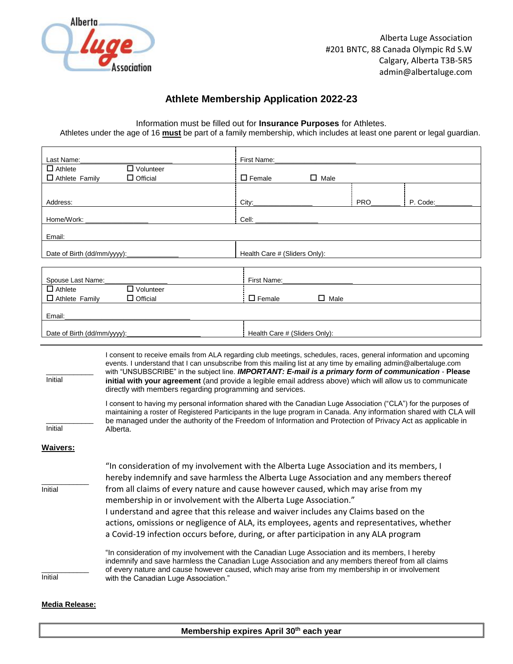

## **Athlete Membership Application 2022-23**

Information must be filled out for **Insurance Purposes** for Athletes.

Athletes under the age of 16 **must** be part of a family membership, which includes at least one parent or legal guardian.

| Last Name:                         |                                                                                                                                                                                                                                                                                                                                                                                                                                                                                                                                                                                                                                                                                                                                                                                                                                                                                                                                         | First Name:                   |                |            |          |
|------------------------------------|-----------------------------------------------------------------------------------------------------------------------------------------------------------------------------------------------------------------------------------------------------------------------------------------------------------------------------------------------------------------------------------------------------------------------------------------------------------------------------------------------------------------------------------------------------------------------------------------------------------------------------------------------------------------------------------------------------------------------------------------------------------------------------------------------------------------------------------------------------------------------------------------------------------------------------------------|-------------------------------|----------------|------------|----------|
| $\Box$ Athlete<br>$\Box$ Volunteer |                                                                                                                                                                                                                                                                                                                                                                                                                                                                                                                                                                                                                                                                                                                                                                                                                                                                                                                                         |                               |                |            |          |
| $\Box$ Athlete Family              | $\Box$ Official                                                                                                                                                                                                                                                                                                                                                                                                                                                                                                                                                                                                                                                                                                                                                                                                                                                                                                                         | $\Box$ Female                 | $\Box$ Male    |            |          |
|                                    |                                                                                                                                                                                                                                                                                                                                                                                                                                                                                                                                                                                                                                                                                                                                                                                                                                                                                                                                         |                               |                |            |          |
| Address:                           |                                                                                                                                                                                                                                                                                                                                                                                                                                                                                                                                                                                                                                                                                                                                                                                                                                                                                                                                         | City:                         |                | <b>PRO</b> | P. Code: |
| Home/Work:                         |                                                                                                                                                                                                                                                                                                                                                                                                                                                                                                                                                                                                                                                                                                                                                                                                                                                                                                                                         | Cell:                         |                |            |          |
| Email:                             |                                                                                                                                                                                                                                                                                                                                                                                                                                                                                                                                                                                                                                                                                                                                                                                                                                                                                                                                         |                               |                |            |          |
| Date of Birth (dd/mm/yyyy):        |                                                                                                                                                                                                                                                                                                                                                                                                                                                                                                                                                                                                                                                                                                                                                                                                                                                                                                                                         | Health Care # (Sliders Only): |                |            |          |
| Spouse Last Name:                  |                                                                                                                                                                                                                                                                                                                                                                                                                                                                                                                                                                                                                                                                                                                                                                                                                                                                                                                                         | First Name:                   |                |            |          |
| $\Box$ Athlete                     | $\Box$ Volunteer                                                                                                                                                                                                                                                                                                                                                                                                                                                                                                                                                                                                                                                                                                                                                                                                                                                                                                                        |                               |                |            |          |
| $\Box$ Athlete Family              | $\Box$ Official                                                                                                                                                                                                                                                                                                                                                                                                                                                                                                                                                                                                                                                                                                                                                                                                                                                                                                                         | $\Box$ Female                 | $\square$ Male |            |          |
| Email:                             |                                                                                                                                                                                                                                                                                                                                                                                                                                                                                                                                                                                                                                                                                                                                                                                                                                                                                                                                         |                               |                |            |          |
| Date of Birth (dd/mm/yyyy):        |                                                                                                                                                                                                                                                                                                                                                                                                                                                                                                                                                                                                                                                                                                                                                                                                                                                                                                                                         | Health Care # (Sliders Only): |                |            |          |
|                                    |                                                                                                                                                                                                                                                                                                                                                                                                                                                                                                                                                                                                                                                                                                                                                                                                                                                                                                                                         |                               |                |            |          |
| Initial<br>Initial                 | I consent to receive emails from ALA regarding club meetings, schedules, races, general information and upcoming<br>events. I understand that I can unsubscribe from this mailing list at any time by emailing admin@albertaluge.com<br>with "UNSUBSCRIBE" in the subject line. IMPORTANT: E-mail is a primary form of communication - Please<br>initial with your agreement (and provide a legible email address above) which will allow us to communicate<br>directly with members regarding programming and services.<br>I consent to having my personal information shared with the Canadian Luge Association ("CLA") for the purposes of<br>maintaining a roster of Registered Participants in the luge program in Canada. Any information shared with CLA will<br>be managed under the authority of the Freedom of Information and Protection of Privacy Act as applicable in<br>Alberta.                                         |                               |                |            |          |
| <b>Waivers:</b>                    |                                                                                                                                                                                                                                                                                                                                                                                                                                                                                                                                                                                                                                                                                                                                                                                                                                                                                                                                         |                               |                |            |          |
| Initial                            | "In consideration of my involvement with the Alberta Luge Association and its members, I<br>hereby indemnify and save harmless the Alberta Luge Association and any members thereof<br>from all claims of every nature and cause however caused, which may arise from my<br>membership in or involvement with the Alberta Luge Association."<br>I understand and agree that this release and waiver includes any Claims based on the<br>actions, omissions or negligence of ALA, its employees, agents and representatives, whether<br>a Covid-19 infection occurs before, during, or after participation in any ALA program<br>"In consideration of my involvement with the Canadian Luge Association and its members, I hereby<br>indemnify and save harmless the Canadian Luge Association and any members thereof from all claims<br>of every nature and cause however caused, which may arise from my membership in or involvement |                               |                |            |          |
| Initial                            | with the Canadian Luge Association."                                                                                                                                                                                                                                                                                                                                                                                                                                                                                                                                                                                                                                                                                                                                                                                                                                                                                                    |                               |                |            |          |
| <b>Media Release:</b>              |                                                                                                                                                                                                                                                                                                                                                                                                                                                                                                                                                                                                                                                                                                                                                                                                                                                                                                                                         |                               |                |            |          |

**Membership expires April 30th each year**